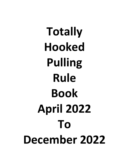**Totally Hooked Pulling Rule Book April 2022 To December 2022**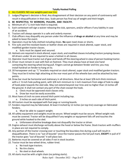- 1. ALL CLASSES: NO rear weights past rear tire.
- 2. Judges/Flagman's decision is final. Any disagreement of their decision on any point of controversy will result in disqualification in that class. Scale person has final say of weight and hitch height.
- **3. BE RESPECTFUL TO WORKERS, PULLERS, AND FACILTIY.**
- 4. Minimum of  $1 \frac{1}{2}$ -inch hole hitch is required.
- 5. Each contestant will sign a waiver releasing the club, sponsors, and/or officers if any liability in case of an accident.
- 6. Tractors will always operate in a safe and orderly manner.
- 7. Club officers may disqualify any person under the influence of **drugs or alcohol** at any time and may be asked to leave the event.
- 8. Operators must be fully clothed including shoes. **No** open toed shoes or shorts.
- 9. Fire suits and fire-resistant boots or leather shoes are required in stock altered, super stock, and modified garden tractor classes.
	- a. Suits must be zipped and secured.
- 10. Helmets are required in stock altered, super stock, and modified classes including tractors jumping classes. All drivers under 16 are required to wear a helmet in all classes.
- 11. Operator must have tractor out of gear and hands off the steering wheel in view of person hooking tractor.
- 12. Driver must remain in seat with feet on footrest. They must always have at least one hand contacting the steering wheel during pull. Fingers cannot go between fender and tire; you may install handrail on fender to hang on to.
- 13. 20 horsepower and up: "L" brackets required on stock altered, super stock and modified garden tractors. They must be 6 inches high attaching at the rear most part of the wheelie bars and be attached by two points.
- 14. Draw bar must be horizontal and stationary in all directions. Must be at least 3/8-inch-thick minimum with a 1 'A inch hole pulling point, with 3/8 inch minimum to 1 inch maximum from edge of hole to edge of hook plate towards the sled side. May not extend beyond rear tires and no higher than 13 inches off the ground. It shall not contact any part of the chain except the hook.
	- a. Clevis must be approved stock classes only.
	- b. Draw bar must be easily accessible.
- 15. Must have a 6 inch no zone around hitch point including top.
	- a. 3 inches on each side of hitch point.
- 16. All tractors must be equipped with foot pegs or running boards.
- 17. Fenders required may be fabricated. At least 4 inched by 12 inches (on top tire) coverage on fabricated fenders.

a. Must be able to support weight.

- 18. All safety equipment and weights must be secure. Wheel weight must be secure. Wheel weight rods must be covered. Tractor will be disqualified if any weights or equipment falls off and touches the ground while hooked to the sled.
	- a. Unforeseen driveline breakage does not disqualify the tractor or driver.
- 19. Engine exhaust must discharge vertically above the hood or below the frame. Stock tractors with mufflers in place are not required to comply.
- 20. Any portion of the tractor crossing over or touching the boundary line during a pull will result in disqualification. There is no "out of bounds" once the tractor passes the full pull mark, **EXCEPT** in pull of if the tractor goes "out of bounds" it will place last.
- 21. Batteries must be covered on all sides if not in stock location.
- 22. Tractor must be two-wheel drive, rubber tired.
	- a. No track type tractors.
		- b. No tire chains.
		- c. No steel or dual wheels.
- 23. All starts must be with a tight chain (no jerking starts).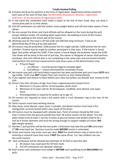- 24. Entrants will draw for position at the time of registration. Registration will be closed for each class at the start of that class. No REFUNDS (Exceptions: Weather, registration staff error, at the discretion of registration staff.)
- 25. In the event the contestant must make a repair at the line of their hook, they can drop 3 consecutive pulls or as time allows.
- 26. Pull-off contestants can add fuel and/or move weight before pull-off and make repairs if time allows.
- 27. No one except the driver and track officials will be allowed on the track during the pull; except children (under 13) needing adult supervision. No walking in front of the tractor; must be walking on the clutch side of the tractor.
- 28. Working zone for the track is 20 feet wide and 200 feet long minimum. Track to be determined day of the pull by sled operator.
- 29. All tractors may be protested. \$100 protest fee for single cylinder, \$200 protest fee for twin cylinders. Protest may be made by another participant in that class. If the tractor is found legal, that puller will get the \$100. If the tractor is found illegal, the protestor keeps the \$100. Tear down will be done at the end of pull day. The owner or designee of owner shall perform teardown. One tech official who is not competing in the same class and one board member shall perform the technical measurements and issue a pass or fail determination only.
	- a. If found illegal:
		- i. 1st offense must be proven legal to compete again
		- $ii.$  2nd offense  $-$  tractor eliminated for remainder of year
- 30. No tractor may pull until tech/safety inspection has been performed and must have **CGTP** tech tag visible. Techs may **NOT** inspect their own tractors or and relation/family.
- 31. If you register and choose to leave before your class has pulled, you donate your money to the club.
- 32. Driver's less than 18 years of age must have a signed parental consent form.
	- a. Minimum 5-13 years old for 14 horsepower youth stock.
	- b. Minimum of 13 years old for 20 horsepower, modified, stick altered, and super stock.
	- c. Parent/guardian is required for pullers up to age 13.
- 33. All tractors are required to have a kill switch with a I-inch diameter ring at the rear of the tractor.
- 34. Stock tractors must have working reverse.
- 35. Max stock, stock altered, super stock, 3 cylinder, and diesel tractors must have a fire extinguisher securely fasted within easy reach of the driver.
- 36. All tractors must be equipped with wheelie bars. Point of contact should be NO more than 5 inches from the ground and NO less than 18 inches centers of the wheel. Tire skid plate needs to be at least 1 inch by 3 inches at ground contact and wheels need to be 1 inch by 4 inches diameter and must be strong enough to support weight of tractor (**NO** light weight wheels).
- 37. Number 1 pull position will be the test puller. Contestant may take the pull **OR** come back 3rd **OR** come back last. Decision must be made **BEFORE** tractor is unhooked.
- 38. Driver and tractor may enter once per class. **ONLY** for youth drivers may a tractor be reentering or entered more than once if **NOT** the same driver. (i.e. two children can use the same tractor).
- 39. Each contestant will be allowed two attempts of 25 feet to start the sled.
	- a. All classes may coast past the 50-foot mark.
	- b. Pull off contestants are allowed I attempt.
- 40. Each tractor and contestant must weigh in **BEFORE** each qualifying hook **INCLUDING** full pulls.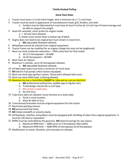#### **Stock Class Rules**

- 1. Tractor must have a 11-inch hitch height, with a minimum of a  $1^2/z$ -inch hole.
- 2. Tractor must be stock in appearance of manufacturers hood, grill, fenders, and shell.
	- a. Fenders may be fabricated but must have at least 4 inches by 12-inch top of tread coverage and be able to support the weight.
- 3. Stock lift camshaft, stock stroke for engine model.
	- a. + .30 over bore allowed
	- b. Piston must remain flush or below top of block.
- 4. Engine does not need to be original but must remain in stock form.
	- a. **NO** adjustable flywheels allowed.
- 5. Wheelbase cannot be altered from original equipment.
- 6. Tractor frame can be modified for an engine change but may not be lengthened.
- 7. Must use stock unaltered carburetor— OEM carburetor for that model.
	- a. 10-12.5 Horsepower = 26 MM
	- b.  $16-20$  Horsepower = 30 MM
- 8. Must have air cleaner.
- 9. Maximum 3 cylinder, up to 20 Horsepower allowed.
	- a. **NO** adjustable flywheels allowed.
- 10. All fabricated seats must have a minimum of 3 inch back.
- 11. **NO** electric fuel pumps unless factory equipped.
- 12. Must use stock type ignition system. Chevy point allowed with cover.
- 13. Must use stock OEM head, surfacing allowed.
- 14. Maximum tire size is 23x10:50x12 **EXCEPT** for 16hp and up--can use 24x12x12.
	- a. **NO** professional pulling tires, paddle type or big bar tires.
	- b. Tread design may be bar or turf type.
	- c. NO cut tires in stock class.
	- d. No ATV tires.
- 15. Tube front axles are allowed. (must function as a stock axle).
	- a. Pivot in stock location.
	- b. Must be able to turn.
- 16. Transmission/transaxle must be original equipment for the tractor.
- 17. Must have working reverse.
- 18. **NO** pressurized fuel tanks.
- 19. **NO** intake standoffs or velocity stacks.
- 20. All flywheels, clutches, and pulley's must be equipped with shielding of other than original equipment. It must be 1/8 steel or equivalent.
- 21. RPMS must be controlled by the governor. **NO** external springs for any reason.
	- a. Maximum RPM limit 4000 up to 12.5 Horsepower (NO LOAD).
	- b. Maximum RPM limit 4000 RPM 16 Horsepower & 20 Horsepower
- 22. Modification to clutch, driveline, and transaxle are allowed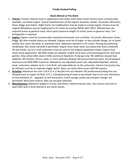### **Stock Altered or Pro-Stock**

- 1. **Chassis:** Tractors shall be stock in appearance and utilize stock sheet metal Factory stock, commercially available, cast block engine. Typical manufacturers of the engines would be. Kohler, Tecumseh, Wisconsin, Onan, Briggs and station. Slight frame rail modifications may be made to accept engine. Chassis must be original Wheelbase may be lengthened to 52 inches by moving FRONT AXLE ONLY. Wheelie bars are required (same as general rules). Hitch point maximum height 13 inches (same as general rules). Fire extinguisher is required.
- 2. **Engine:** Engines must be commercially manufactured brands such as Kohler, Tecumseh, Wisconsin, Onan, Briggs. NO after-market blocks are allowed. Engines must be of single- or two-cylinder design, air or liquid cooled, four cycle, flat head, or overhead valve. Maximum overbore is ft3 inches. Porting and polishing areallowed. Non-stock camshaft is permitted. Engine must retain stock size values and stock crankshaft lift and stroke. Up to a I-inch carburetor must be used or the original equipment model. Engine must retain stock appearance. NO billet heads are allowed. Engine must have a functioning governor and stock ignition. May utilize billet steel or billet aluminum flywheels. Pump gas only. NO additives (except lead additive). NO alcohol, nitrous, oxide, or nitro-methane allowed. NO pressurized fuel tanks. 20 horsepower maximum and 4500 RPM maximum. Allowed to use adjustable push rods, adjustable flywheel, velocity stack, carburetor adapter up to 1 inch thick, and adjustable jet. to the carburetor. Electric fuel pump may be allowed; must be on separate toggle switch. Must use stock valve covers with NO spacers.
- 3. **Driveline**: Maximum tire size is 26 X 12 X 1/ Bar/AG tires are allowed. NO professional pulling tires are allowed (such as Cepek, Pit Bulls, ETC.). Cutting/shaving of tread us permitted. Due to tire size, alterations to final driveline, IE... upgrades to belt-tensioners, clutch springs, pulley size and gear change, are permitted. Must have reverse. May use any gear selection.
- 4. **Miscellaneous:** Maximum weight or tractor and driver is determined by class. Any tractors that pull in sport MAY pull in stock altered or pro-stock classes.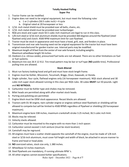### **Totally Hooked Pulling Super Pro**

- 1. Tractor frame can be modified.
- 2. Engine does not need to be original equipment, but must meet the following rules
	- a. 1 or 2 cylinders (50.5 cubic inch)  $>$  4 cycle
	- b. Original rated at 20 horsepower or less
- 3. 1/16 -inch metal shield must be provided over all belts, chains, etc.
- 4. 1/16 -inch metal shield must be provided over turbocharger.
- 5. NQS pro-stock and super stock 50.5 cubic inch maximum are legal to run in this class.
- 6. 1/8-inch steel or 3/16-inch aluminum shields must be provided 360 degrees around the flywheel (steel flywheel only) and clutch. 4500 RPM maximum limit for cast flywheel.
- 7. Tractor must be stock in appearance and must have a hood, grill, seat, and fenders in place.
- 8. Transmission and rear axle housing need not be original equipment for the tractor but must have been original manufactured for garden tractor use. Internal parts may be modified.
- 9. Maximum length of 8 feet from the center of rear axle forward, including weights. Maximum wheelbase length 56 inches.
- 10. Oxidizers (i.e. nitrous oxide), pressurized fuel tanks are not allowed. There are no other limitations on fuel or fuel systems.
- 11. Maximum tire size 26 X 12 X12. Tire tread pattern may be bar or turf type (**NO** paddle tires). Professional pulling tires are allowed.

# **Stock Altered**

- 1. Must run factory looking hood and grill and must have stock length frame.
- 2. Engines must be Kohler, Wisconsin, Tecumseh, Briggs, Onan, Kawasaki, or Honda.
- **3.** Single cylinder, four cycle, flathead engines only (16 horsepower maximum). NQS stock altered and 30 cubic inch super stock allowed running in this class per NQS rules. 30 cubes **MUST** run 50 pounds. Light and **NO NITROUS.**
- 4. Carburetor must be Kohler type and chokes may be removed.
- 5. Billet heads are permitted along with after-market stock heads.
- 6. Porting and polishing are permitted.
- 7. Engine block must be OEM stock appearance. Recast blocks are allowed.
- 8. Tractors with 01-W engine, twin cylinder engine or engines without steel flywheels or shielding will be allowed to compete but will be limited to 4500 RPMS regardless of flywheel or shielding (20 horsepower maximum).
- 9. Maximum engine bore 338 inches, maximum crankshaft stroke 3.25 inched, 36.5 cubic inch limit.
- 10. Blocks may be relieved.
- 11. Velocity stacks allowed.
- 12. Carburetor must be mounted to the engine with no more than 1-inch spacer.
- 13. Carburetor cannot exceed 1-inch venture (must be stock location).
- 14. Camshaft may be reground.
- 15. All engines must have a scatter shield opposite the camshaft of the engine, must be made of 1/8-inch steel or 3/16-inch aluminum, must cover full height and width of block, be attached in secure manner to frame and head or head plate.
- 16. **NO** oversized valves, stock size only, 1.380 inches.
- 17. Wheelbase 52 inches maximum.
- 18. Steel flywheels are mandatory, if running ultimate RPM 's.
- 19. All other engines cannot exceed Kohler specifications.